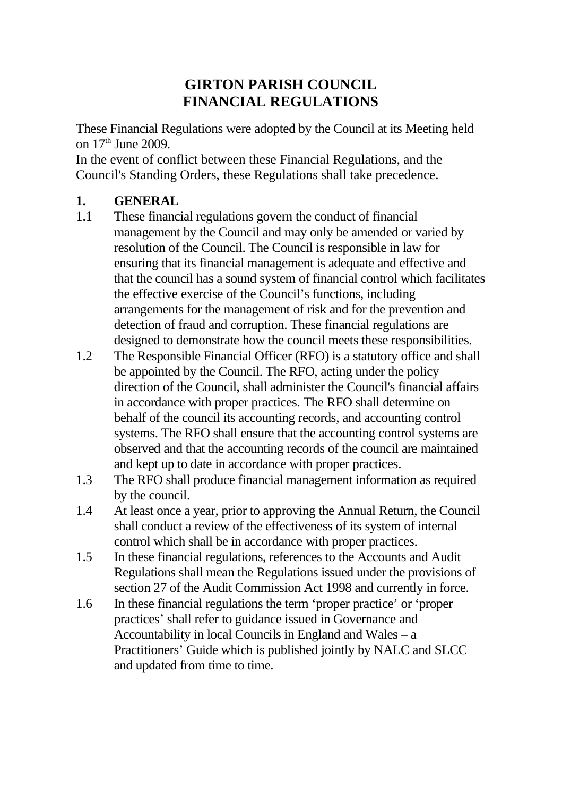## **GIRTON PARISH COUNCIL FINANCIAL REGULATIONS**

These Financial Regulations were adopted by the Council at its Meeting held on  $17<sup>th</sup>$  June 2009.

In the event of conflict between these Financial Regulations, and the Council's Standing Orders, these Regulations shall take precedence.

#### **1. GENERAL**

- 1.1 These financial regulations govern the conduct of financial management by the Council and may only be amended or varied by resolution of the Council. The Council is responsible in law for ensuring that its financial management is adequate and effective and that the council has a sound system of financial control which facilitates the effective exercise of the Council's functions, including arrangements for the management of risk and for the prevention and detection of fraud and corruption. These financial regulations are designed to demonstrate how the council meets these responsibilities.
- 1.2 The Responsible Financial Officer (RFO) is a statutory office and shall be appointed by the Council. The RFO, acting under the policy direction of the Council, shall administer the Council's financial affairs in accordance with proper practices. The RFO shall determine on behalf of the council its accounting records, and accounting control systems. The RFO shall ensure that the accounting control systems are observed and that the accounting records of the council are maintained and kept up to date in accordance with proper practices.
- 1.3 The RFO shall produce financial management information as required by the council.
- 1.4 At least once a year, prior to approving the Annual Return, the Council shall conduct a review of the effectiveness of its system of internal control which shall be in accordance with proper practices.
- 1.5 In these financial regulations, references to the Accounts and Audit Regulations shall mean the Regulations issued under the provisions of section 27 of the Audit Commission Act 1998 and currently in force.
- 1.6 In these financial regulations the term 'proper practice' or 'proper practices' shall refer to guidance issued in Governance and Accountability in local Councils in England and Wales – a Practitioners' Guide which is published jointly by NALC and SLCC and updated from time to time.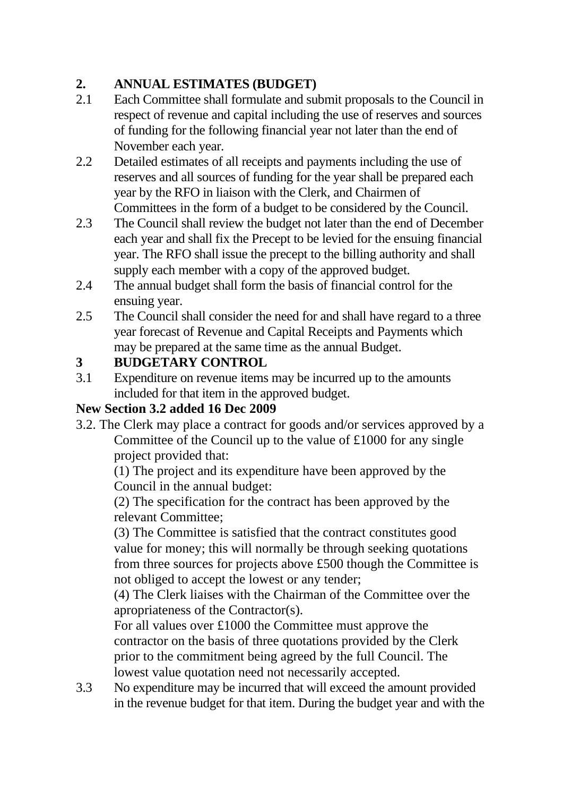# **2. ANNUAL ESTIMATES (BUDGET)**

- 2.1 Each Committee shall formulate and submit proposals to the Council in respect of revenue and capital including the use of reserves and sources of funding for the following financial year not later than the end of November each year.
- 2.2 Detailed estimates of all receipts and payments including the use of reserves and all sources of funding for the year shall be prepared each year by the RFO in liaison with the Clerk, and Chairmen of Committees in the form of a budget to be considered by the Council.
- 2.3 The Council shall review the budget not later than the end of December each year and shall fix the Precept to be levied for the ensuing financial year. The RFO shall issue the precept to the billing authority and shall supply each member with a copy of the approved budget.
- 2.4 The annual budget shall form the basis of financial control for the ensuing year.
- 2.5 The Council shall consider the need for and shall have regard to a three year forecast of Revenue and Capital Receipts and Payments which may be prepared at the same time as the annual Budget.

## **3 BUDGETARY CONTROL**

3.1 Expenditure on revenue items may be incurred up to the amounts included for that item in the approved budget.

### **New Section 3.2 added 16 Dec 2009**

3.2. The Clerk may place a contract for goods and/or services approved by a Committee of the Council up to the value of £1000 for any single project provided that:

(1) The project and its expenditure have been approved by the Council in the annual budget:

(2) The specification for the contract has been approved by the relevant Committee;

(3) The Committee is satisfied that the contract constitutes good value for money; this will normally be through seeking quotations from three sources for projects above £500 though the Committee is not obliged to accept the lowest or any tender;

(4) The Clerk liaises with the Chairman of the Committee over the apropriateness of the Contractor(s).

For all values over £1000 the Committee must approve the contractor on the basis of three quotations provided by the Clerk prior to the commitment being agreed by the full Council. The lowest value quotation need not necessarily accepted.

3.3 No expenditure may be incurred that will exceed the amount provided in the revenue budget for that item. During the budget year and with the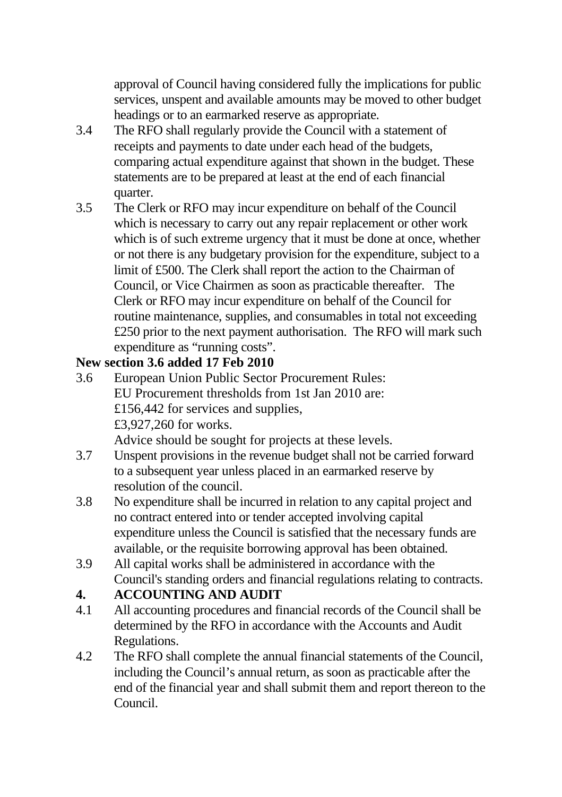approval of Council having considered fully the implications for public services, unspent and available amounts may be moved to other budget headings or to an earmarked reserve as appropriate.

- 3.4 The RFO shall regularly provide the Council with a statement of receipts and payments to date under each head of the budgets, comparing actual expenditure against that shown in the budget. These statements are to be prepared at least at the end of each financial quarter.
- 3.5 The Clerk or RFO may incur expenditure on behalf of the Council which is necessary to carry out any repair replacement or other work which is of such extreme urgency that it must be done at once, whether or not there is any budgetary provision for the expenditure, subject to a limit of £500. The Clerk shall report the action to the Chairman of Council, or Vice Chairmen as soon as practicable thereafter. The Clerk or RFO may incur expenditure on behalf of the Council for routine maintenance, supplies, and consumables in total not exceeding £250 prior to the next payment authorisation. The RFO will mark such expenditure as "running costs".

#### **New section 3.6 added 17 Feb 2010**

- 3.6 European Union Public Sector Procurement Rules: EU Procurement thresholds from 1st Jan 2010 are: £156,442 for services and supplies, £3,927,260 for works. Advice should be sought for projects at these levels.
- 3.7 Unspent provisions in the revenue budget shall not be carried forward to a subsequent year unless placed in an earmarked reserve by resolution of the council.
- 3.8 No expenditure shall be incurred in relation to any capital project and no contract entered into or tender accepted involving capital expenditure unless the Council is satisfied that the necessary funds are available, or the requisite borrowing approval has been obtained.
- 3.9 All capital works shall be administered in accordance with the Council's standing orders and financial regulations relating to contracts.
- **4. ACCOUNTING AND AUDIT**
- 4.1 All accounting procedures and financial records of the Council shall be determined by the RFO in accordance with the Accounts and Audit Regulations.
- 4.2 The RFO shall complete the annual financial statements of the Council, including the Council's annual return, as soon as practicable after the end of the financial year and shall submit them and report thereon to the Council.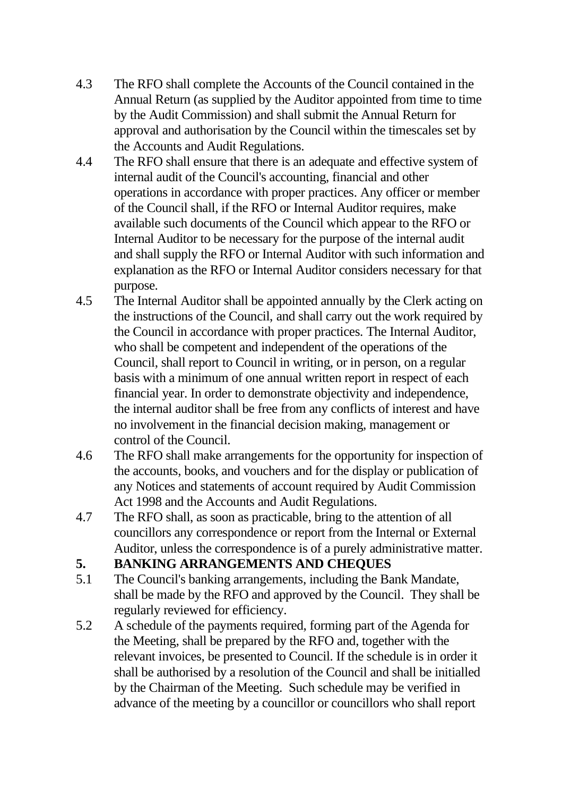- 4.3 The RFO shall complete the Accounts of the Council contained in the Annual Return (as supplied by the Auditor appointed from time to time by the Audit Commission) and shall submit the Annual Return for approval and authorisation by the Council within the timescales set by the Accounts and Audit Regulations.
- 4.4 The RFO shall ensure that there is an adequate and effective system of internal audit of the Council's accounting, financial and other operations in accordance with proper practices. Any officer or member of the Council shall, if the RFO or Internal Auditor requires, make available such documents of the Council which appear to the RFO or Internal Auditor to be necessary for the purpose of the internal audit and shall supply the RFO or Internal Auditor with such information and explanation as the RFO or Internal Auditor considers necessary for that purpose.
- 4.5 The Internal Auditor shall be appointed annually by the Clerk acting on the instructions of the Council, and shall carry out the work required by the Council in accordance with proper practices. The Internal Auditor, who shall be competent and independent of the operations of the Council, shall report to Council in writing, or in person, on a regular basis with a minimum of one annual written report in respect of each financial year. In order to demonstrate objectivity and independence, the internal auditor shall be free from any conflicts of interest and have no involvement in the financial decision making, management or control of the Council.
- 4.6 The RFO shall make arrangements for the opportunity for inspection of the accounts, books, and vouchers and for the display or publication of any Notices and statements of account required by Audit Commission Act 1998 and the Accounts and Audit Regulations.
- 4.7 The RFO shall, as soon as practicable, bring to the attention of all councillors any correspondence or report from the Internal or External Auditor, unless the correspondence is of a purely administrative matter.

#### **5. BANKING ARRANGEMENTS AND CHEQUES**

- 5.1 The Council's banking arrangements, including the Bank Mandate, shall be made by the RFO and approved by the Council. They shall be regularly reviewed for efficiency.
- 5.2 A schedule of the payments required, forming part of the Agenda for the Meeting, shall be prepared by the RFO and, together with the relevant invoices, be presented to Council. If the schedule is in order it shall be authorised by a resolution of the Council and shall be initialled by the Chairman of the Meeting. Such schedule may be verified in advance of the meeting by a councillor or councillors who shall report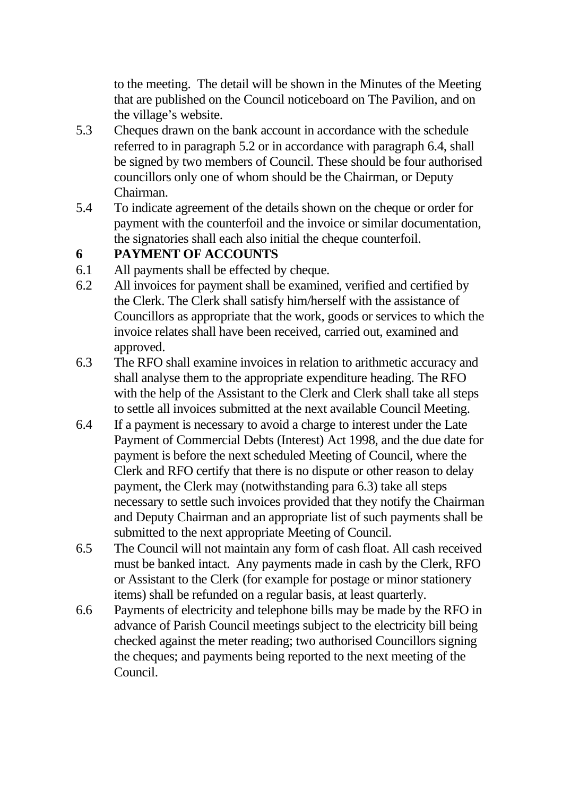to the meeting. The detail will be shown in the Minutes of the Meeting that are published on the Council noticeboard on The Pavilion, and on the village's website.

- 5.3 Cheques drawn on the bank account in accordance with the schedule referred to in paragraph 5.2 or in accordance with paragraph 6.4, shall be signed by two members of Council. These should be four authorised councillors only one of whom should be the Chairman, or Deputy Chairman.
- 5.4 To indicate agreement of the details shown on the cheque or order for payment with the counterfoil and the invoice or similar documentation, the signatories shall each also initial the cheque counterfoil.

#### **6 PAYMENT OF ACCOUNTS**

- 6.1 All payments shall be effected by cheque.
- 6.2 All invoices for payment shall be examined, verified and certified by the Clerk. The Clerk shall satisfy him/herself with the assistance of Councillors as appropriate that the work, goods or services to which the invoice relates shall have been received, carried out, examined and approved.
- 6.3 The RFO shall examine invoices in relation to arithmetic accuracy and shall analyse them to the appropriate expenditure heading. The RFO with the help of the Assistant to the Clerk and Clerk shall take all steps to settle all invoices submitted at the next available Council Meeting.
- 6.4 If a payment is necessary to avoid a charge to interest under the Late Payment of Commercial Debts (Interest) Act 1998, and the due date for payment is before the next scheduled Meeting of Council, where the Clerk and RFO certify that there is no dispute or other reason to delay payment, the Clerk may (notwithstanding para 6.3) take all steps necessary to settle such invoices provided that they notify the Chairman and Deputy Chairman and an appropriate list of such payments shall be submitted to the next appropriate Meeting of Council.
- 6.5 The Council will not maintain any form of cash float. All cash received must be banked intact. Any payments made in cash by the Clerk, RFO or Assistant to the Clerk (for example for postage or minor stationery items) shall be refunded on a regular basis, at least quarterly.
- 6.6 Payments of electricity and telephone bills may be made by the RFO in advance of Parish Council meetings subject to the electricity bill being checked against the meter reading; two authorised Councillors signing the cheques; and payments being reported to the next meeting of the Council.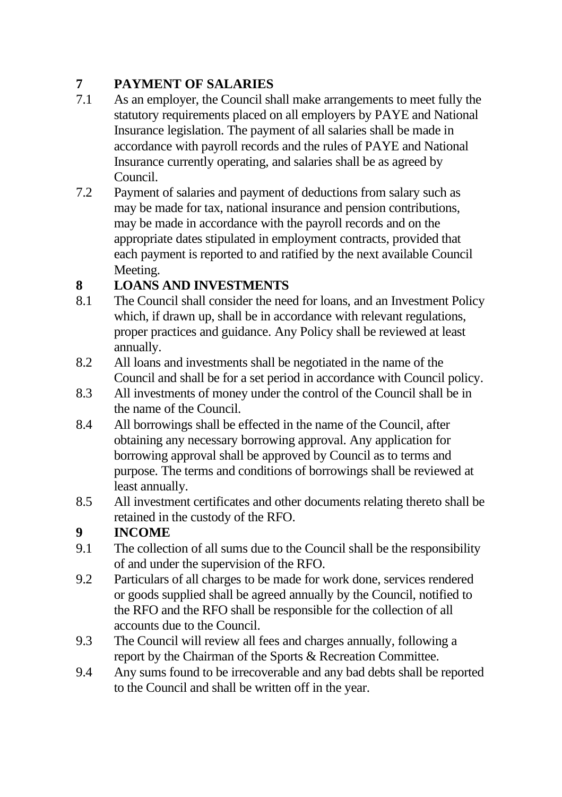# **7 PAYMENT OF SALARIES**

- 7.1 As an employer, the Council shall make arrangements to meet fully the statutory requirements placed on all employers by PAYE and National Insurance legislation. The payment of all salaries shall be made in accordance with payroll records and the rules of PAYE and National Insurance currently operating, and salaries shall be as agreed by Council.
- 7.2 Payment of salaries and payment of deductions from salary such as may be made for tax, national insurance and pension contributions, may be made in accordance with the payroll records and on the appropriate dates stipulated in employment contracts, provided that each payment is reported to and ratified by the next available Council Meeting.

### **8 LOANS AND INVESTMENTS**

- 8.1 The Council shall consider the need for loans, and an Investment Policy which, if drawn up, shall be in accordance with relevant regulations, proper practices and guidance. Any Policy shall be reviewed at least annually.
- 8.2 All loans and investments shall be negotiated in the name of the Council and shall be for a set period in accordance with Council policy.
- 8.3 All investments of money under the control of the Council shall be in the name of the Council.
- 8.4 All borrowings shall be effected in the name of the Council, after obtaining any necessary borrowing approval. Any application for borrowing approval shall be approved by Council as to terms and purpose. The terms and conditions of borrowings shall be reviewed at least annually.
- 8.5 All investment certificates and other documents relating thereto shall be retained in the custody of the RFO.

# **9 INCOME**

- 9.1 The collection of all sums due to the Council shall be the responsibility of and under the supervision of the RFO.
- 9.2 Particulars of all charges to be made for work done, services rendered or goods supplied shall be agreed annually by the Council, notified to the RFO and the RFO shall be responsible for the collection of all accounts due to the Council.
- 9.3 The Council will review all fees and charges annually, following a report by the Chairman of the Sports & Recreation Committee.
- 9.4 Any sums found to be irrecoverable and any bad debts shall be reported to the Council and shall be written off in the year.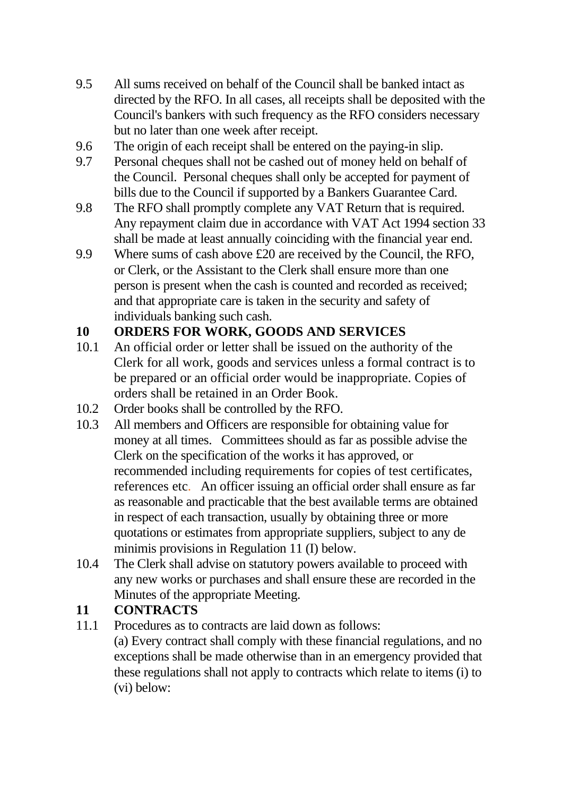- 9.5 All sums received on behalf of the Council shall be banked intact as directed by the RFO. In all cases, all receipts shall be deposited with the Council's bankers with such frequency as the RFO considers necessary but no later than one week after receipt.
- 9.6 The origin of each receipt shall be entered on the paying-in slip.
- 9.7 Personal cheques shall not be cashed out of money held on behalf of the Council. Personal cheques shall only be accepted for payment of bills due to the Council if supported by a Bankers Guarantee Card.
- 9.8 The RFO shall promptly complete any VAT Return that is required. Any repayment claim due in accordance with VAT Act 1994 section 33 shall be made at least annually coinciding with the financial year end.
- 9.9 Where sums of cash above £20 are received by the Council, the RFO, or Clerk, or the Assistant to the Clerk shall ensure more than one person is present when the cash is counted and recorded as received; and that appropriate care is taken in the security and safety of individuals banking such cash.

## **10 ORDERS FOR WORK, GOODS AND SERVICES**

- 10.1 An official order or letter shall be issued on the authority of the Clerk for all work, goods and services unless a formal contract is to be prepared or an official order would be inappropriate. Copies of orders shall be retained in an Order Book.
- 10.2 Order books shall be controlled by the RFO.
- 10.3 All members and Officers are responsible for obtaining value for money at all times. Committees should as far as possible advise the Clerk on the specification of the works it has approved, or recommended including requirements for copies of test certificates, references etc. An officer issuing an official order shall ensure as far as reasonable and practicable that the best available terms are obtained in respect of each transaction, usually by obtaining three or more quotations or estimates from appropriate suppliers, subject to any de minimis provisions in Regulation 11 (I) below.
- 10.4 The Clerk shall advise on statutory powers available to proceed with any new works or purchases and shall ensure these are recorded in the Minutes of the appropriate Meeting.

### **11 CONTRACTS**

11.1 Procedures as to contracts are laid down as follows: (a) Every contract shall comply with these financial regulations, and no exceptions shall be made otherwise than in an emergency provided that these regulations shall not apply to contracts which relate to items (i) to (vi) below: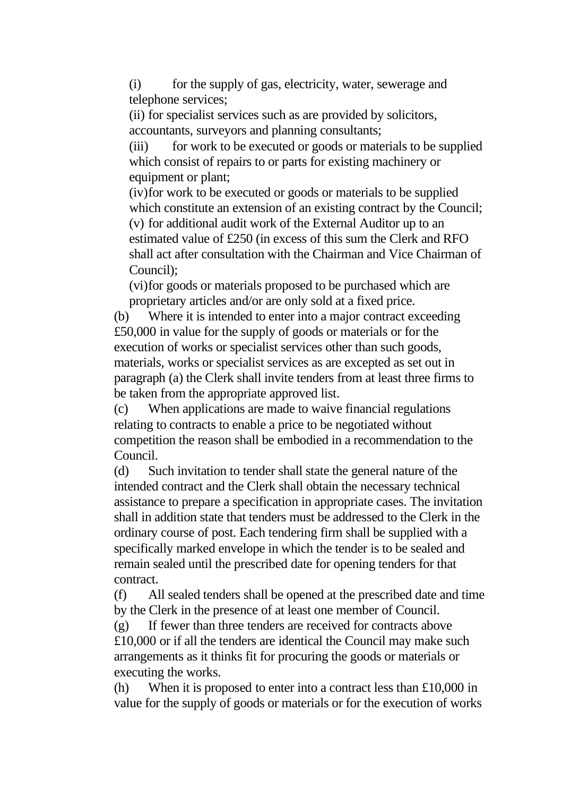(i) for the supply of gas, electricity, water, sewerage and telephone services;

(ii) for specialist services such as are provided by solicitors, accountants, surveyors and planning consultants;

(iii) for work to be executed or goods or materials to be supplied which consist of repairs to or parts for existing machinery or equipment or plant;

(iv)for work to be executed or goods or materials to be supplied which constitute an extension of an existing contract by the Council; (v) for additional audit work of the External Auditor up to an estimated value of £250 (in excess of this sum the Clerk and RFO shall act after consultation with the Chairman and Vice Chairman of Council);

(vi)for goods or materials proposed to be purchased which are proprietary articles and/or are only sold at a fixed price.

(b) Where it is intended to enter into a major contract exceeding £50,000 in value for the supply of goods or materials or for the execution of works or specialist services other than such goods, materials, works or specialist services as are excepted as set out in paragraph (a) the Clerk shall invite tenders from at least three firms to be taken from the appropriate approved list.

(c) When applications are made to waive financial regulations relating to contracts to enable a price to be negotiated without competition the reason shall be embodied in a recommendation to the Council.

(d) Such invitation to tender shall state the general nature of the intended contract and the Clerk shall obtain the necessary technical assistance to prepare a specification in appropriate cases. The invitation shall in addition state that tenders must be addressed to the Clerk in the ordinary course of post. Each tendering firm shall be supplied with a specifically marked envelope in which the tender is to be sealed and remain sealed until the prescribed date for opening tenders for that contract.

(f) All sealed tenders shall be opened at the prescribed date and time by the Clerk in the presence of at least one member of Council.

(g) If fewer than three tenders are received for contracts above £10,000 or if all the tenders are identical the Council may make such arrangements as it thinks fit for procuring the goods or materials or executing the works.

(h) When it is proposed to enter into a contract less than £10,000 in value for the supply of goods or materials or for the execution of works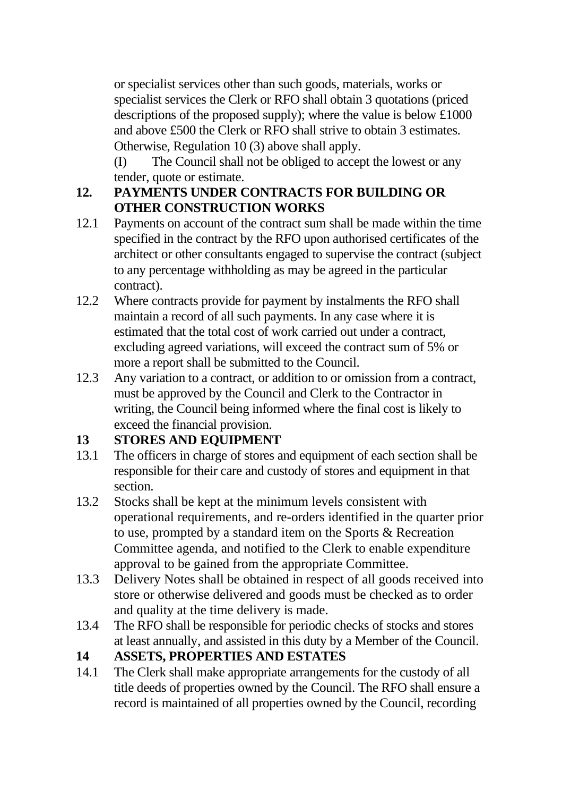or specialist services other than such goods, materials, works or specialist services the Clerk or RFO shall obtain 3 quotations (priced descriptions of the proposed supply); where the value is below £1000 and above £500 the Clerk or RFO shall strive to obtain 3 estimates. Otherwise, Regulation 10 (3) above shall apply.

(I) The Council shall not be obliged to accept the lowest or any tender, quote or estimate.

#### **12. PAYMENTS UNDER CONTRACTS FOR BUILDING OR OTHER CONSTRUCTION WORKS**

- 12.1 Payments on account of the contract sum shall be made within the time specified in the contract by the RFO upon authorised certificates of the architect or other consultants engaged to supervise the contract (subject to any percentage withholding as may be agreed in the particular contract).
- 12.2 Where contracts provide for payment by instalments the RFO shall maintain a record of all such payments. In any case where it is estimated that the total cost of work carried out under a contract, excluding agreed variations, will exceed the contract sum of 5% or more a report shall be submitted to the Council.
- 12.3 Any variation to a contract, or addition to or omission from a contract, must be approved by the Council and Clerk to the Contractor in writing, the Council being informed where the final cost is likely to exceed the financial provision.

### **13 STORES AND EQUIPMENT**

- 13.1 The officers in charge of stores and equipment of each section shall be responsible for their care and custody of stores and equipment in that section.
- 13.2 Stocks shall be kept at the minimum levels consistent with operational requirements, and re-orders identified in the quarter prior to use, prompted by a standard item on the Sports & Recreation Committee agenda, and notified to the Clerk to enable expenditure approval to be gained from the appropriate Committee.
- 13.3 Delivery Notes shall be obtained in respect of all goods received into store or otherwise delivered and goods must be checked as to order and quality at the time delivery is made.
- 13.4 The RFO shall be responsible for periodic checks of stocks and stores at least annually, and assisted in this duty by a Member of the Council.

### **14 ASSETS, PROPERTIES AND ESTATES**

14.1 The Clerk shall make appropriate arrangements for the custody of all title deeds of properties owned by the Council. The RFO shall ensure a record is maintained of all properties owned by the Council, recording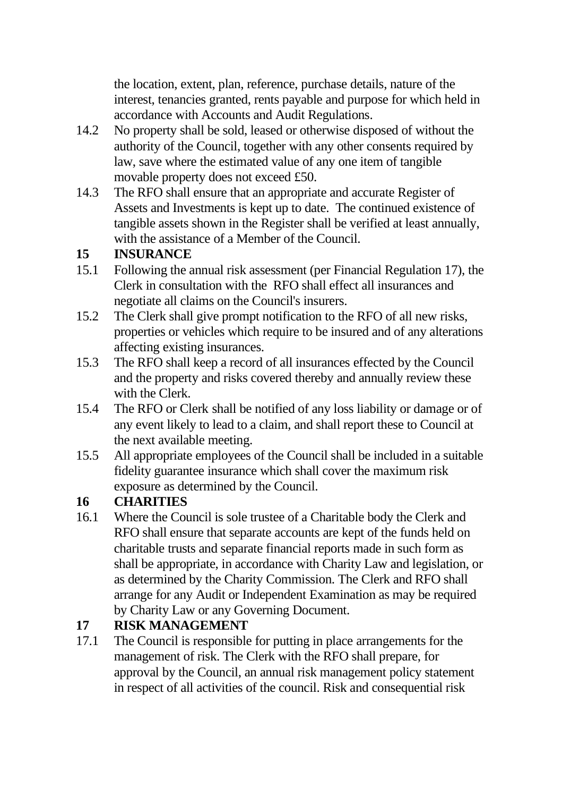the location, extent, plan, reference, purchase details, nature of the interest, tenancies granted, rents payable and purpose for which held in accordance with Accounts and Audit Regulations.

- 14.2 No property shall be sold, leased or otherwise disposed of without the authority of the Council, together with any other consents required by law, save where the estimated value of any one item of tangible movable property does not exceed £50.
- 14.3 The RFO shall ensure that an appropriate and accurate Register of Assets and Investments is kept up to date. The continued existence of tangible assets shown in the Register shall be verified at least annually, with the assistance of a Member of the Council.

#### **15 INSURANCE**

- 15.1 Following the annual risk assessment (per Financial Regulation 17), the Clerk in consultation with the RFO shall effect all insurances and negotiate all claims on the Council's insurers.
- 15.2 The Clerk shall give prompt notification to the RFO of all new risks, properties or vehicles which require to be insured and of any alterations affecting existing insurances.
- 15.3 The RFO shall keep a record of all insurances effected by the Council and the property and risks covered thereby and annually review these with the Clerk.
- 15.4 The RFO or Clerk shall be notified of any loss liability or damage or of any event likely to lead to a claim, and shall report these to Council at the next available meeting.
- 15.5 All appropriate employees of the Council shall be included in a suitable fidelity guarantee insurance which shall cover the maximum risk exposure as determined by the Council.

### **16 CHARITIES**

16.1 Where the Council is sole trustee of a Charitable body the Clerk and RFO shall ensure that separate accounts are kept of the funds held on charitable trusts and separate financial reports made in such form as shall be appropriate, in accordance with Charity Law and legislation, or as determined by the Charity Commission. The Clerk and RFO shall arrange for any Audit or Independent Examination as may be required by Charity Law or any Governing Document.

#### **17 RISK MANAGEMENT**

17.1 The Council is responsible for putting in place arrangements for the management of risk. The Clerk with the RFO shall prepare, for approval by the Council, an annual risk management policy statement in respect of all activities of the council. Risk and consequential risk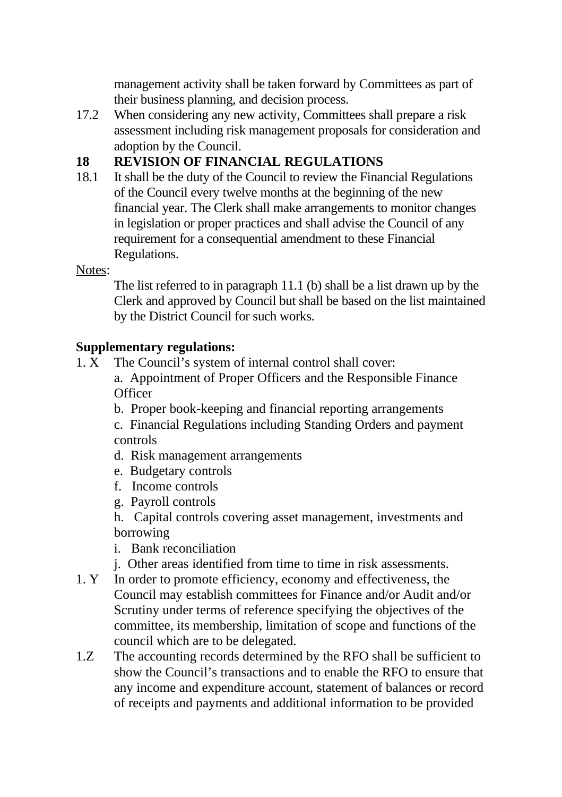management activity shall be taken forward by Committees as part of their business planning, and decision process.

17.2 When considering any new activity, Committees shall prepare a risk assessment including risk management proposals for consideration and adoption by the Council.

#### **18 REVISION OF FINANCIAL REGULATIONS**

18.1 It shall be the duty of the Council to review the Financial Regulations of the Council every twelve months at the beginning of the new financial year. The Clerk shall make arrangements to monitor changes in legislation or proper practices and shall advise the Council of any requirement for a consequential amendment to these Financial Regulations.

#### Notes:

The list referred to in paragraph 11.1 (b) shall be a list drawn up by the Clerk and approved by Council but shall be based on the list maintained by the District Council for such works.

#### **Supplementary regulations:**

- 1. X The Council's system of internal control shall cover: a. Appointment of Proper Officers and the Responsible Finance **Officer** 
	- b. Proper book-keeping and financial reporting arrangements

c. Financial Regulations including Standing Orders and payment controls

- d. Risk management arrangements
- e. Budgetary controls
- f. Income controls
- g. Payroll controls

h. Capital controls covering asset management, investments and borrowing

- i. Bank reconciliation
- j. Other areas identified from time to time in risk assessments.
- 1. Y In order to promote efficiency, economy and effectiveness, the Council may establish committees for Finance and/or Audit and/or Scrutiny under terms of reference specifying the objectives of the committee, its membership, limitation of scope and functions of the council which are to be delegated.
- 1.Z The accounting records determined by the RFO shall be sufficient to show the Council's transactions and to enable the RFO to ensure that any income and expenditure account, statement of balances or record of receipts and payments and additional information to be provided